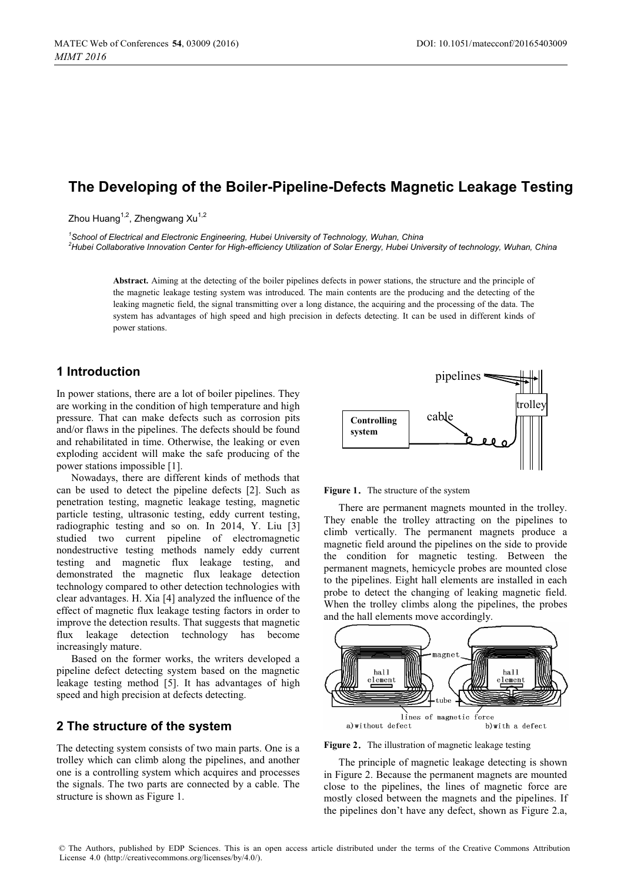# **The Developing of the Boiler-Pipeline-Defects Magnetic Leakage Testing**

Zhou Huang 1, Zhengwang Xu 1

<sup>1</sup> School of Electrical and Electronic Engineering, Hubei University of Technology, Wuhan, China *2 Hubei Collaborative Innovation Center for High-efficiency Utilization of Solar Energy, Hubei University of technology, Wuhan, China* 

**Abstract.** Aiming at the detecting of the boiler pipelines defects in power stations, the structure and the principle of the magnetic leakage testing system was introduced. The main contents are the producing and the detecting of the leaking magnetic field, the signal transmitting over a long distance, the acquiring and the processing of the data. The system has advantages of high speed and high precision in defects detecting. It can be used in different kinds of power stations.

## **1 Introduction**

In power stations, there are a lot of boiler pipelines. They are working in the condition of high temperature and high pressure. That can make defects such as corrosion pits and/or flaws in the pipelines. The defects should be found and rehabilitated in time. Otherwise, the leaking or even exploding accident will make the safe producing of the power stations impossible [1].

Nowadays, there are different kinds of methods that can be used to detect the pipeline defects [2]. Such as penetration testing, magnetic leakage testing, magnetic particle testing, ultrasonic testing, eddy current testing, radiographic testing and so on. In 2014, Y. Liu [3] studied two current pipeline of electromagnetic nondestructive testing methods namely eddy current testing and magnetic flux leakage testing, and demonstrated the magnetic flux leakage detection technology compared to other detection technologies with clear advantages. H. Xia [4] analyzed the influence of the effect of magnetic flux leakage testing factors in order to improve the detection results. That suggests that magnetic flux leakage detection technology has become increasingly mature.

Based on the former works, the writers developed a pipeline defect detecting system based on the magnetic leakage testing method [5]. It has advantages of high speed and high precision at defects detecting.

### **2 The structure of the system**

The detecting system consists of two main parts. One is a trolley which can climb along the pipelines, and another one is a controlling system which acquires and processes the signals. The two parts are connected by a cable. The structure is shown as Figure 1.



**Figure 1.** The structure of the system

There are permanent magnets mounted in the trolley. They enable the trolley attracting on the pipelines to climb vertically. The permanent magnets produce a magnetic field around the pipelines on the side to provide the condition for magnetic testing. Between the permanent magnets, hemicycle probes are mounted close to the pipelines. Eight hall elements are installed in each probe to detect the changing of leaking magnetic field. When the trolley climbs along the pipelines, the probes and the hall elements move accordingly.



Figure 2. The illustration of magnetic leakage testing

The principle of magnetic leakage detecting is shown in Figure 2. Because the permanent magnets are mounted close to the pipelines, the lines of magnetic force are mostly closed between the magnets and the pipelines. If the pipelines don't have any defect, shown as Figure 2.a,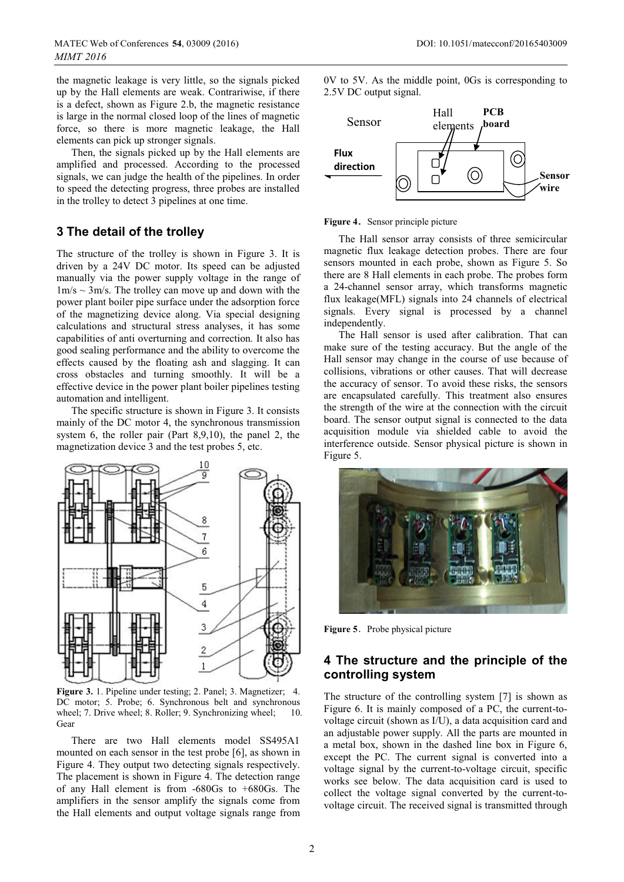the magnetic leakage is very little, so the signals picked up by the Hall elements are weak. Contrariwise, if there is a defect, shown as Figure 2.b, the magnetic resistance is large in the normal closed loop of the lines of magnetic force, so there is more magnetic leakage, the Hall elements can pick up stronger signals.

Then, the signals picked up by the Hall elements are amplified and processed. According to the processed signals, we can judge the health of the pipelines. In order to speed the detecting progress, three probes are installed in the trolley to detect 3 pipelines at one time.

## **3 The detail of the trolley**

The structure of the trolley is shown in Figure 3. It is driven by a 24V DC motor. Its speed can be adjusted manually via the power supply voltage in the range of  $1m/s \sim 3m/s$ . The trolley can move up and down with the power plant boiler pipe surface under the adsorption force of the magnetizing device along. Via special designing calculations and structural stress analyses, it has some capabilities of anti overturning and correction. It also has good sealing performance and the ability to overcome the effects caused by the floating ash and slagging. It can cross obstacles and turning smoothly. It will be a effective device in the power plant boiler pipelines testing automation and intelligent.

The specific structure is shown in Figure 3. It consists mainly of the DC motor 4, the synchronous transmission system 6, the roller pair (Part 8,9,10), the panel 2, the magnetization device 3 and the test probes 5, etc.



**Figure 3.** 1. Pipeline under testing; 2. Panel; 3. Magnetizer; 4. DC motor; 5. Probe; 6. Synchronous belt and synchronous wheel; 7. Drive wheel; 8. Roller; 9. Synchronizing wheel; 10. Gear

There are two Hall elements model SS495A1 mounted on each sensor in the test probe [6], as shown in Figure 4. They output two detecting signals respectively. The placement is shown in Figure 4. The detection range of any Hall element is from -680Gs to +680Gs. The amplifiers in the sensor amplify the signals come from the Hall elements and output voltage signals range from

0V to 5V. As the middle point, 0Gs is corresponding to 2.5V DC output signal.



#### **Figure 4.** Sensor principle picture

The Hall sensor array consists of three semicircular magnetic flux leakage detection probes. There are four sensors mounted in each probe, shown as Figure 5. So there are 8 Hall elements in each probe. The probes form a 24-channel sensor array, which transforms magnetic flux leakage(MFL) signals into 24 channels of electrical signals. Every signal is processed by a channel independently.

The Hall sensor is used after calibration. That can make sure of the testing accuracy. But the angle of the Hall sensor may change in the course of use because of collisions, vibrations or other causes. That will decrease the accuracy of sensor. To avoid these risks, the sensors are encapsulated carefully. This treatment also ensures the strength of the wire at the connection with the circuit board. The sensor output signal is connected to the data acquisition module via shielded cable to avoid the interference outside. Sensor physical picture is shown in Figure 5.



**Figure 5.** Probe physical picture

## **4 The structure and the principle of the controlling system**

The structure of the controlling system [7] is shown as Figure 6. It is mainly composed of a PC, the current-tovoltage circuit (shown as I/U), a data acquisition card and an adjustable power supply. All the parts are mounted in a metal box, shown in the dashed line box in Figure 6, except the PC. The current signal is converted into a voltage signal by the current-to-voltage circuit, specific works see below. The data acquisition card is used to collect the voltage signal converted by the current-tovoltage circuit. The received signal is transmitted through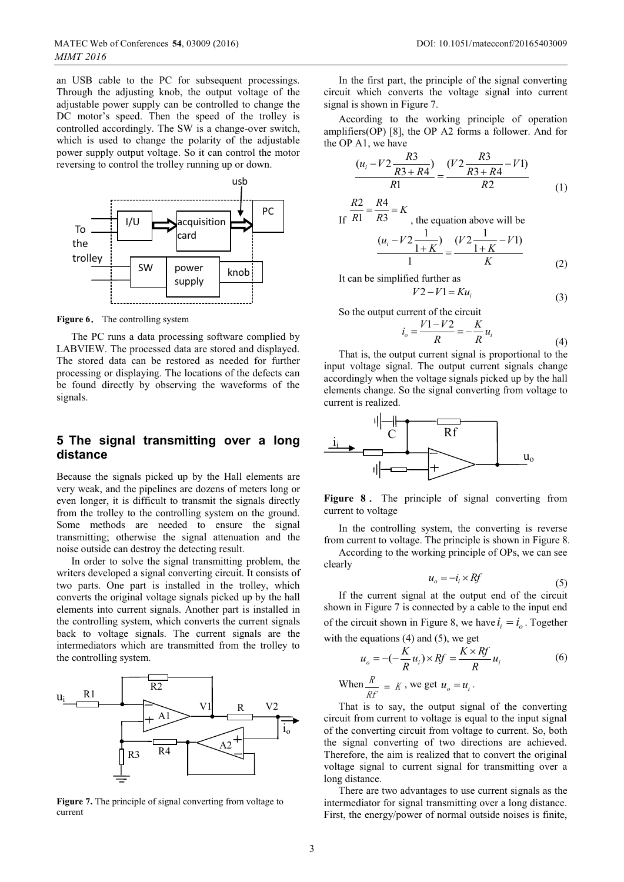an USB cable to the PC for subsequent processings. Through the adjusting knob, the output voltage of the adjustable power supply can be controlled to change the DC motor's speed. Then the speed of the trolley is controlled accordingly. The SW is a change-over switch, which is used to change the polarity of the adjustable power supply output voltage. So it can control the motor reversing to control the trolley running up or down.



**Figure 6.** The controlling system

The PC runs a data processing software complied by LABVIEW. The processed data are stored and displayed. The stored data can be restored as needed for further processing or displaying. The locations of the defects can be found directly by observing the waveforms of the signals.

## **5 The signal transmitting over a long distance**

Because the signals picked up by the Hall elements are very weak, and the pipelines are dozens of meters long or even longer, it is difficult to transmit the signals directly from the trolley to the controlling system on the ground. Some methods are needed to ensure the signal transmitting; otherwise the signal attenuation and the noise outside can destroy the detecting result.

In order to solve the signal transmitting problem, the writers developed a signal converting circuit. It consists of two parts. One part is installed in the trolley, which converts the original voltage signals picked up by the hall elements into current signals. Another part is installed in the controlling system, which converts the current signals back to voltage signals. The current signals are the intermediators which are transmitted from the trolley to the controlling system.



**Figure 7.** The principle of signal converting from voltage to current

In the first part, the principle of the signal converting circuit which converts the voltage signal into current signal is shown in Figure 7.

According to the working principle of operation amplifiers(OP) [8], the OP A2 forms a follower. And for the OP A1, we have

$$
\frac{(u_i - V2 \frac{R3}{R3 + R4})}{R1} = \frac{(V2 \frac{R3}{R3 + R4} - V1)}{R2}
$$
(1)

If 
$$
\frac{R2}{R1} = \frac{R4}{R3} = K
$$
, the equation above will be

$$
\frac{(u_i - V2\frac{1}{1+K})}{1} = \frac{(V2\frac{1}{1+K} - V1)}{K}
$$
 (2)

It can be simplified further as

4

 $R<sup>2</sup>$ 

$$
V2 - V1 = Ku_i \tag{3}
$$

So the output current of the circuit

$$
i_o = \frac{V1 - V2}{R} = -\frac{K}{R}u_i
$$
\n(4)

 $R$  *R*<sup>*R*</sup>
(4)<br>That is, the output current signal is proportional to the input voltage signal. The output current signals change accordingly when the voltage signals picked up by the hall elements change. So the signal converting from voltage to current is realized.



Figure 8. The principle of signal converting from current to voltage

In the controlling system, the converting is reverse from current to voltage. The principle is shown in Figure 8.

According to the working principle of OPs, we can see clearly

$$
u_o = -i_i \times Rf \tag{5}
$$

If the current signal at the output end of the circuit shown in Figure 7 is connected by a cable to the input end of the circuit shown in Figure 8, we have  $i_i = i_o$ . Together with the equations  $(4)$  and  $(5)$ , we get

$$
u_o = -(-\frac{K}{R}u_i) \times Rf = \frac{K \times Rf}{R}u_i
$$
 (6)

When 
$$
\frac{R}{Rf} = K
$$
, we get  $u_o = u_i$ .

That is to say, the output signal of the converting circuit from current to voltage is equal to the input signal of the converting circuit from voltage to current. So, both the signal converting of two directions are achieved. Therefore, the aim is realized that to convert the original voltage signal to current signal for transmitting over a long distance.

There are two advantages to use current signals as the intermediator for signal transmitting over a long distance. First, the energy/power of normal outside noises is finite,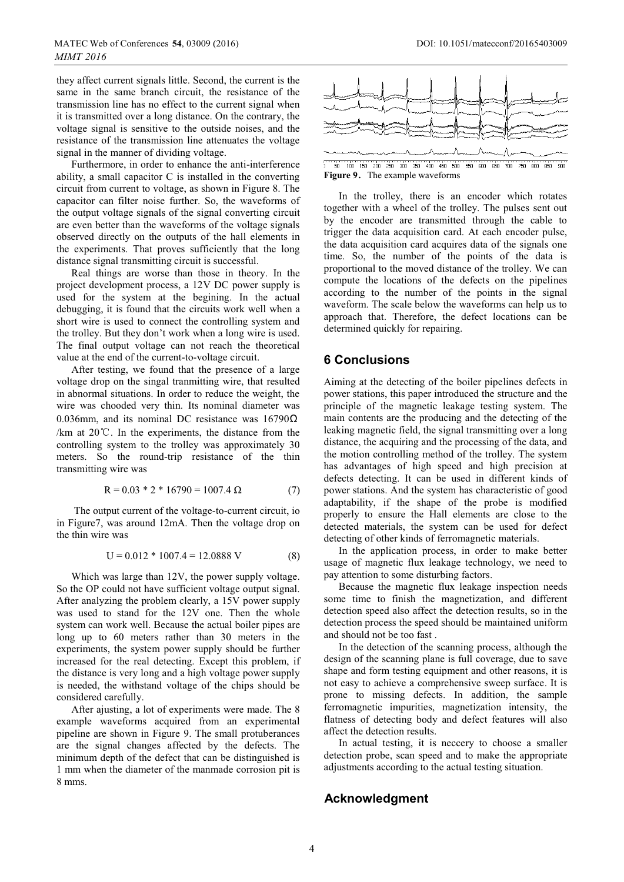they affect current signals little. Second, the current is the same in the same branch circuit, the resistance of the transmission line has no effect to the current signal when it is transmitted over a long distance. On the contrary, the voltage signal is sensitive to the outside noises, and the resistance of the transmission line attenuates the voltage signal in the manner of dividing voltage.

Furthermore, in order to enhance the anti-interference ability, a small capacitor C is installed in the converting circuit from current to voltage, as shown in Figure 8. The capacitor can filter noise further. So, the waveforms of the output voltage signals of the signal converting circuit are even better than the waveforms of the voltage signals observed directly on the outputs of the hall elements in the experiments. That proves sufficiently that the long distance signal transmitting circuit is successful.

Real things are worse than those in theory. In the project development process, a 12V DC power supply is used for the system at the begining. In the actual debugging, it is found that the circuits work well when a short wire is used to connect the controlling system and the trolley. But they don't work when a long wire is used. The final output voltage can not reach the theoretical value at the end of the current-to-voltage circuit.

After testing, we found that the presence of a large voltage drop on the singal tranmitting wire, that resulted in abnormal situations. In order to reduce the weight, the wire was chooded very thin. Its nominal diameter was 0.036mm, and its nominal DC resistance was  $16790\Omega$ /km at  $20^{\circ}$ . In the experiments, the distance from the controlling system to the trolley was approximately 30 meters. So the round-trip resistance of the thin transmitting wire was

$$
R = 0.03 * 2 * 16790 = 1007.4 \Omega \tag{7}
$$

 The output current of the voltage-to-current circuit, io in Figure7, was around 12mA. Then the voltage drop on the thin wire was

$$
U = 0.012 * 1007.4 = 12.0888 V
$$
 (8)

Which was large than 12V, the power supply voltage. So the OP could not have sufficient voltage output signal. After analyzing the problem clearly, a 15V power supply was used to stand for the 12V one. Then the whole system can work well. Because the actual boiler pipes are long up to 60 meters rather than 30 meters in the experiments, the system power supply should be further increased for the real detecting. Except this problem, if the distance is very long and a high voltage power supply is needed, the withstand voltage of the chips should be considered carefully.

After ajusting, a lot of experiments were made. The 8 example waveforms acquired from an experimental pipeline are shown in Figure 9. The small protuberances are the signal changes affected by the defects. The minimum depth of the defect that can be distinguished is 1 mm when the diameter of the manmade corrosion pit is 8 mms.



**Figure 9.** The example waveforms **Figure 9.** The example waveforms

In the trolley, there is an encoder which rotates together with a wheel of the trolley. The pulses sent out by the encoder are transmitted through the cable to trigger the data acquisition card. At each encoder pulse, the data acquisition card acquires data of the signals one time. So, the number of the points of the data is proportional to the moved distance of the trolley. We can compute the locations of the defects on the pipelines according to the number of the points in the signal waveform. The scale below the waveforms can help us to approach that. Therefore, the defect locations can be determined quickly for repairing.

#### **6 Conclusions**

Aiming at the detecting of the boiler pipelines defects in power stations, this paper introduced the structure and the principle of the magnetic leakage testing system. The main contents are the producing and the detecting of the leaking magnetic field, the signal transmitting over a long distance, the acquiring and the processing of the data, and the motion controlling method of the trolley. The system has advantages of high speed and high precision at defects detecting. It can be used in different kinds of power stations. And the system has characteristic of good adaptability, if the shape of the probe is modified properly to ensure the Hall elements are close to the detected materials, the system can be used for defect detecting of other kinds of ferromagnetic materials.

In the application process, in order to make better usage of magnetic flux leakage technology, we need to pay attention to some disturbing factors.

Because the magnetic flux leakage inspection needs some time to finish the magnetization, and different detection speed also affect the detection results, so in the detection process the speed should be maintained uniform and should not be too fast .

In the detection of the scanning process, although the design of the scanning plane is full coverage, due to save shape and form testing equipment and other reasons, it is not easy to achieve a comprehensive sweep surface. It is prone to missing defects. In addition, the sample ferromagnetic impurities, magnetization intensity, the flatness of detecting body and defect features will also affect the detection results.

In actual testing, it is neccery to choose a smaller detection probe, scan speed and to make the appropriate adjustments according to the actual testing situation.

### **Acknowledgment**